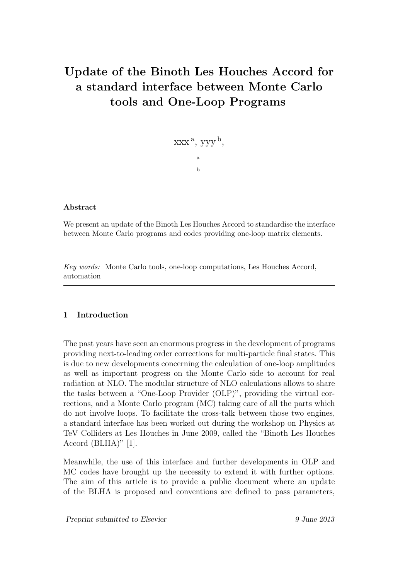# Update of the Binoth Les Houches Accord for a standard interface between Monte Carlo tools and One-Loop Programs

$$
XXX\,a,\,yyy\,b,\,\\a\\b
$$

# Abstract

We present an update of the Binoth Les Houches Accord to standardise the interface between Monte Carlo programs and codes providing one-loop matrix elements.

Key words: Monte Carlo tools, one-loop computations, Les Houches Accord, automation

# 1 Introduction

The past years have seen an enormous progress in the development of programs providing next-to-leading order corrections for multi-particle final states. This is due to new developments concerning the calculation of one-loop amplitudes as well as important progress on the Monte Carlo side to account for real radiation at NLO. The modular structure of NLO calculations allows to share the tasks between a "One-Loop Provider (OLP)", providing the virtual corrections, and a Monte Carlo program (MC) taking care of all the parts which do not involve loops. To facilitate the cross-talk between those two engines, a standard interface has been worked out during the workshop on Physics at TeV Colliders at Les Houches in June 2009, called the "Binoth Les Houches Accord (BLHA)" [1].

Meanwhile, the use of this interface and further developments in OLP and MC codes have brought up the necessity to extend it with further options. The aim of this article is to provide a public document where an update of the BLHA is proposed and conventions are defined to pass parameters,

Preprint submitted to Elsevier 9 June 2013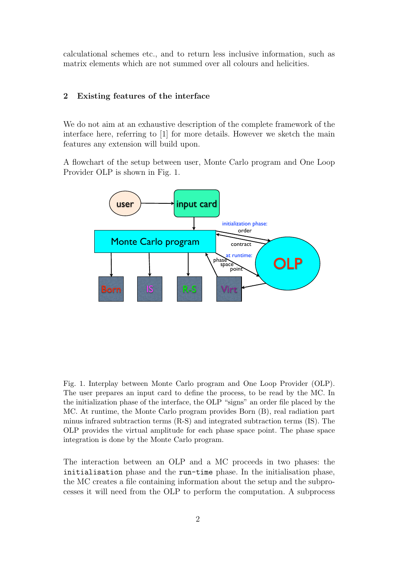calculational schemes etc., and to return less inclusive information, such as matrix elements which are not summed over all colours and helicities.

# 2 Existing features of the interface

We do not aim at an exhaustive description of the complete framework of the interface here, referring to [1] for more details. However we sketch the main features any extension will build upon.

A flowchart of the setup between user, Monte Carlo program and One Loop Provider OLP is shown in Fig. 1.



Fig. 1. Interplay between Monte Carlo program and One Loop Provider (OLP). The user prepares an input card to define the process, to be read by the MC. In the initialization phase of the interface, the OLP "signs" an order file placed by the MC. At runtime, the Monte Carlo program provides Born (B), real radiation part minus infrared subtraction terms (R-S) and integrated subtraction terms (IS). The OLP provides the virtual amplitude for each phase space point. The phase space integration is done by the Monte Carlo program.

The interaction between an OLP and a MC proceeds in two phases: the initialisation phase and the run-time phase. In the initialisation phase, the MC creates a file containing information about the setup and the subprocesses it will need from the OLP to perform the computation. A subprocess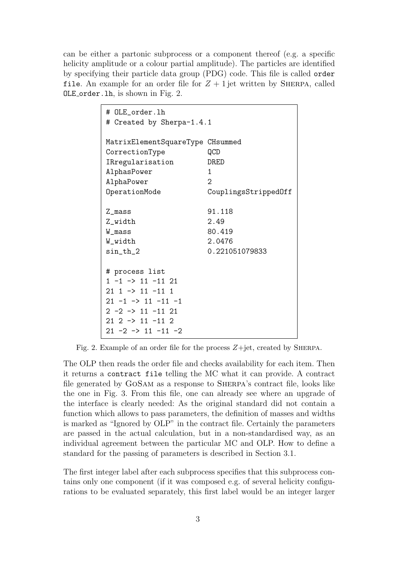can be either a partonic subprocess or a component thereof (e.g. a specific helicity amplitude or a colour partial amplitude). The particles are identified by specifying their particle data group (PDG) code. This file is called order file. An example for an order file for  $Z + 1$  jet written by SHERPA, called OLE order.lh, is shown in Fig. 2.

| # OLE_order.lh<br># Created by Sherpa-1.4.1                                                                                                                                                                     |                                                                                    |
|-----------------------------------------------------------------------------------------------------------------------------------------------------------------------------------------------------------------|------------------------------------------------------------------------------------|
| MatrixElementSquareType CHsummed<br>CorrectionType<br>IRregularisation<br>AlphasPower<br>AlphaPower<br>OperationMode                                                                                            | QCD<br>DRED<br>$\mathbf{1}$<br>$\mathcal{D}_{\mathcal{L}}$<br>CouplingsStrippedOff |
| Z_mass<br>Z_width<br>W mass<br>W_width<br>sin_th_2                                                                                                                                                              | 91.118<br>2.49<br>80.419<br>2.0476<br>0.221051079833                               |
| # process list<br>$1 -1$ -> $11 -11$ 21<br>$21$ 1 $\rightarrow$ 11 $-11$ 1<br>$21 -1 \rightarrow 11 -11 -1$<br>$2 -2 -5 11 -11 21$<br>$21$ $2$ $\rightarrow$ $11$ $-11$ $2$<br>$21 - 2 \rightarrow 11 - 11 - 2$ |                                                                                    |

Fig. 2. Example of an order file for the process  $Z + jet$ , created by SHERPA.

The OLP then reads the order file and checks availability for each item. Then it returns a contract file telling the MC what it can provide. A contract file generated by GoSam as a response to Sherpa's contract file, looks like the one in Fig. 3. From this file, one can already see where an upgrade of the interface is clearly needed: As the original standard did not contain a function which allows to pass parameters, the definition of masses and widths is marked as "Ignored by OLP" in the contract file. Certainly the parameters are passed in the actual calculation, but in a non-standardised way, as an individual agreement between the particular MC and OLP. How to define a standard for the passing of parameters is described in Section 3.1.

The first integer label after each subprocess specifies that this subprocess contains only one component (if it was composed e.g. of several helicity configurations to be evaluated separately, this first label would be an integer larger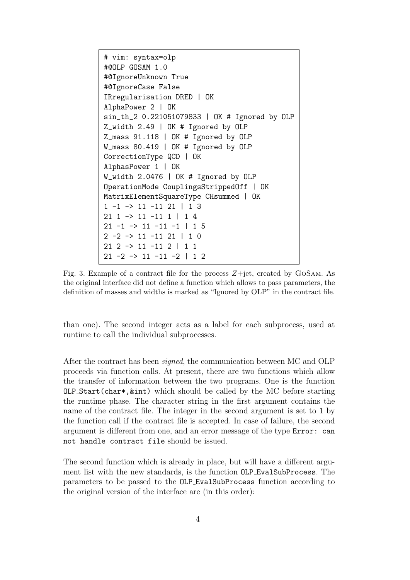```
# vim: syntax=olp
#@OLP GOSAM 1.0
#@IgnoreUnknown True
#@IgnoreCase False
IRregularisation DRED | OK
AlphaPower 2 | OK
sin_th_2 0.221051079833 | OK # Ignored by OLP
Z_width 2.49 | OK # Ignored by OLP
Z_mass 91.118 | OK # Ignored by OLP
W_mass 80.419 | OK # Ignored by OLP
CorrectionType QCD | OK
AlphasPower 1 | OK
W_width 2.0476 | OK # Ignored by OLP
OperationMode CouplingsStrippedOff | OK
MatrixElementSquareType CHsummed | OK
1 -1 -> 11 -11 21 | 1 3
21 1 -> 11 -11 1 | 1 4
21 -1 -> 11 -11 -1 | 1 5
2 -2 -> 11 -11 21 | 1 0
21 2 -> 11 -11 2 | 1 1
21 -2 -> 11 -11 -2 | 1 2
```
Fig. 3. Example of a contract file for the process  $Z + jet$ , created by GOSAM. As the original interface did not define a function which allows to pass parameters, the definition of masses and widths is marked as "Ignored by OLP" in the contract file.

than one). The second integer acts as a label for each subprocess, used at runtime to call the individual subprocesses.

After the contract has been signed, the communication between MC and OLP proceeds via function calls. At present, there are two functions which allow the transfer of information between the two programs. One is the function OLP Start(char\*,&int) which should be called by the MC before starting the runtime phase. The character string in the first argument contains the name of the contract file. The integer in the second argument is set to 1 by the function call if the contract file is accepted. In case of failure, the second argument is different from one, and an error message of the type Error: can not handle contract file should be issued.

The second function which is already in place, but will have a different argument list with the new standards, is the function OLP EvalSubProcess. The parameters to be passed to the OLP EvalSubProcess function according to the original version of the interface are (in this order):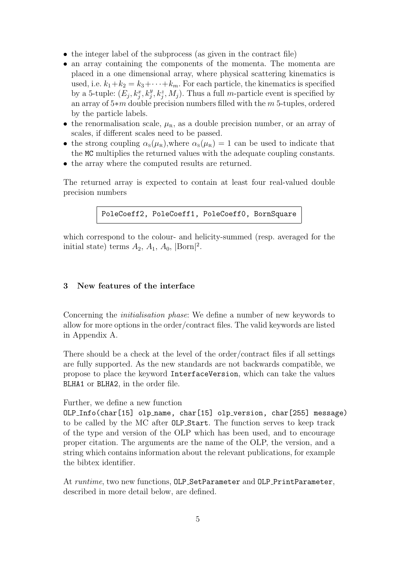- the integer label of the subprocess (as given in the contract file)
- an array containing the components of the momenta. The momenta are placed in a one dimensional array, where physical scattering kinematics is used, i.e.  $k_1+k_2 = k_3+\cdots+k_m$ . For each particle, the kinematics is specified by a 5-tuple:  $(E_j, k_j^x, k_j^y, k_j^z, M_j)$ . Thus a full *m*-particle event is specified by an array of 5∗m double precision numbers filled with the m 5-tuples, ordered by the particle labels.
- the renormalisation scale,  $\mu_{\rm R}$ , as a double precision number, or an array of scales, if different scales need to be passed.
- the strong coupling  $\alpha_s(\mu_R)$ , where  $\alpha_s(\mu_R) = 1$  can be used to indicate that the MC multiplies the returned values with the adequate coupling constants.
- the array where the computed results are returned.

The returned array is expected to contain at least four real-valued double precision numbers

```
PoleCoeff2, PoleCoeff1, PoleCoeff0, BornSquare
```
which correspond to the colour- and helicity-summed (resp. averaged for the initial state) terms  $A_2$ ,  $A_1$ ,  $A_0$ ,  $|\text{Born}|^2$ .

#### 3 New features of the interface

Concerning the initialisation phase: We define a number of new keywords to allow for more options in the order/contract files. The valid keywords are listed in Appendix A.

There should be a check at the level of the order/contract files if all settings are fully supported. As the new standards are not backwards compatible, we propose to place the keyword InterfaceVersion, which can take the values BLHA1 or BLHA2, in the order file.

#### Further, we define a new function

OLP Info(char[15] olp name, char[15] olp version, char[255] message) to be called by the MC after OLP Start. The function serves to keep track of the type and version of the OLP which has been used, and to encourage proper citation. The arguments are the name of the OLP, the version, and a string which contains information about the relevant publications, for example the bibtex identifier.

At runtime, two new functions, OLP\_SetParameter and OLP\_PrintParameter, described in more detail below, are defined.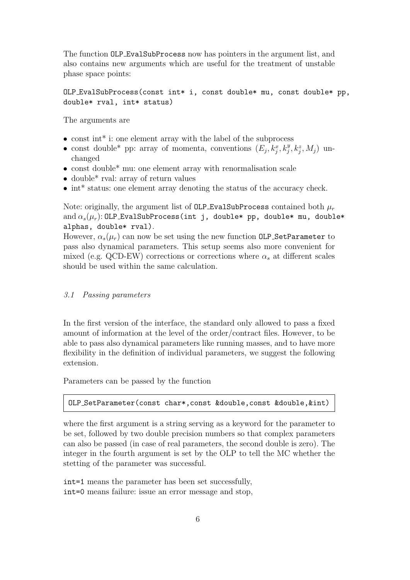The function OLP EvalSubProcess now has pointers in the argument list, and also contains new arguments which are useful for the treatment of unstable phase space points:

# OLP EvalSubProcess(const int\* i, const double\* mu, const double\* pp, double\* rval, int\* status)

The arguments are

- const int<sup>\*</sup> i: one element array with the label of the subprocess
- const double\* pp: array of momenta, conventions  $(E_j, k_j^x, k_j^y, k_j^z, M_j)$  unchanged
- const double\* mu: one element array with renormalisation scale
- double<sup>\*</sup> rval: array of return values
- int<sup>\*</sup> status: one element array denoting the status of the accuracy check.

Note: originally, the argument list of OLP EvalSubProcess contained both  $\mu_r$ and  $\alpha_s(\mu_r)$ : OLP\_EvalSubProcess(int j, double\* pp, double\* mu, double\* alphas, double\* rval).

However,  $\alpha_s(\mu_r)$  can now be set using the new function OLP SetParameter to pass also dynamical parameters. This setup seems also more convenient for mixed (e.g. QCD-EW) corrections or corrections where  $\alpha_s$  at different scales should be used within the same calculation.

#### 3.1 Passing parameters

In the first version of the interface, the standard only allowed to pass a fixed amount of information at the level of the order/contract files. However, to be able to pass also dynamical parameters like running masses, and to have more flexibility in the definition of individual parameters, we suggest the following extension.

Parameters can be passed by the function

# OLP SetParameter(const char\*,const &double,const &double,&int)

where the first argument is a string serving as a keyword for the parameter to be set, followed by two double precision numbers so that complex parameters can also be passed (in case of real parameters, the second double is zero). The integer in the fourth argument is set by the OLP to tell the MC whether the stetting of the parameter was successful.

int=1 means the parameter has been set successfully, int=0 means failure: issue an error message and stop,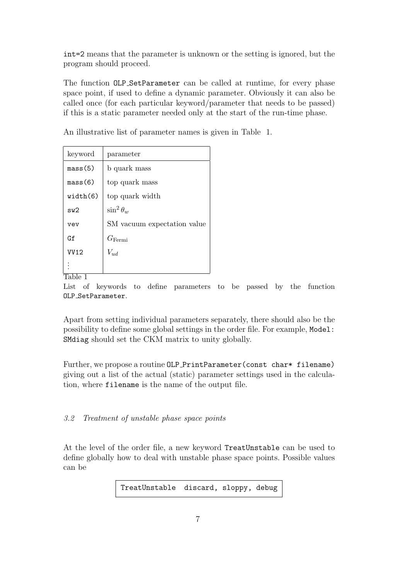int=2 means that the parameter is unknown or the setting is ignored, but the program should proceed.

The function OLP SetParameter can be called at runtime, for every phase space point, if used to define a dynamic parameter. Obviously it can also be called once (for each particular keyword/parameter that needs to be passed) if this is a static parameter needed only at the start of the run-time phase.

An illustrative list of parameter names is given in Table 1.

| keyword     | parameter                   |
|-------------|-----------------------------|
| mass(5)     | b quark mass                |
| mass(6)     | top quark mass              |
| width(6)    | top quark width             |
| sw2         | $\sin^2\theta_w$            |
| vev         | SM vacuum expectation value |
| Gf          | $G_{\rm Fermi}$             |
| <b>VV12</b> | $V_{ud}$                    |
|             |                             |

Table 1

List of keywords to define parameters to be passed by the function OLP\_SetParameter.

Apart from setting individual parameters separately, there should also be the possibility to define some global settings in the order file. For example, Model: SMdiag should set the CKM matrix to unity globally.

Further, we propose a routine OLP\_PrintParameter(const char\* filename) giving out a list of the actual (static) parameter settings used in the calculation, where filename is the name of the output file.

3.2 Treatment of unstable phase space points

At the level of the order file, a new keyword TreatUnstable can be used to define globally how to deal with unstable phase space points. Possible values can be

TreatUnstable discard, sloppy, debug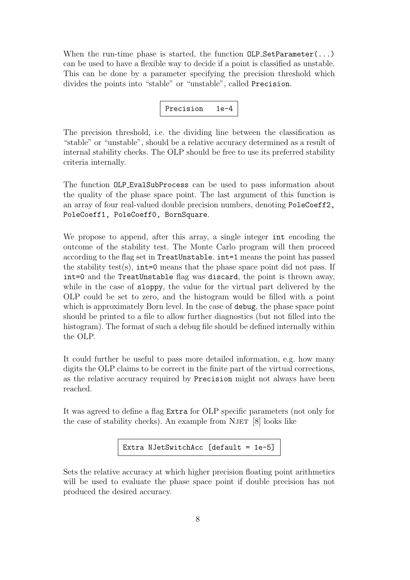When the run-time phase is started, the function  $OLP_SetParameter(...)$ can be used to have a flexible way to decide if a point is classified as unstable. This can be done by a parameter specifying the precision threshold which divides the points into "stable" or "unstable", called Precision.



The precision threshold, i.e. the dividing line between the classification as "stable" or "unstable", should be a relative accuracy determined as a result of internal stability checks. The OLP should be free to use its preferred stability criteria internally.

The function OLP EvalSubProcess can be used to pass information about the quality of the phase space point. The last argument of this function is an array of four real-valued double precision numbers, denoting PoleCoeff2, PoleCoeff1, PoleCoeff0, BornSquare.

We propose to append, after this array, a single integer int encoding the outcome of the stability test. The Monte Carlo program will then proceed according to the flag set in TreatUnstable. int=1 means the point has passed the stability test(s),  $int=0$  means that the phase space point did not pass. If int=0 and the TreatUnstable flag was discard, the point is thrown away, while in the case of sloppy, the value for the virtual part delivered by the OLP could be set to zero, and the histogram would be filled with a point which is approximately Born level. In the case of debug, the phase space point should be printed to a file to allow further diagnostics (but not filled into the histogram). The format of such a debug file should be defined internally within the OLP.

It could further be useful to pass more detailed information, e.g. how many digits the OLP claims to be correct in the finite part of the virtual corrections, as the relative accuracy required by Precision might not always have been reached.

It was agreed to define a flag Extra for OLP specific parameters (not only for the case of stability checks). An example from NJET  $[8]$  looks like

Extra NJetSwitchAcc [default = 1e-5]

Sets the relative accuracy at which higher precision floating point arithmetics will be used to evaluate the phase space point if double precision has not produced the desired accuracy.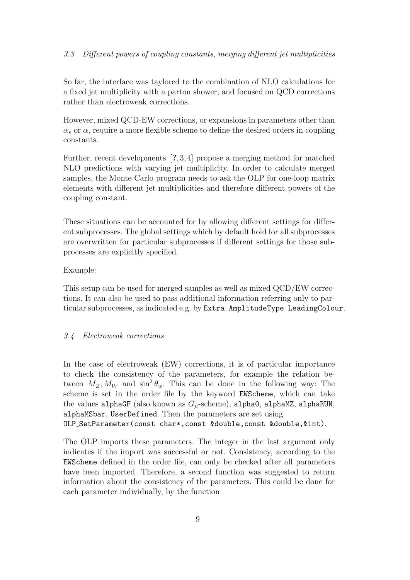## 3.3 Different powers of coupling constants, merging different jet multiplicities

So far, the interface was taylored to the combination of NLO calculations for a fixed jet multiplicity with a parton shower, and focused on QCD corrections rather than electroweak corrections.

However, mixed QCD-EW corrections, or expansions in parameters other than  $\alpha_s$  or  $\alpha$ , require a more flexible scheme to define the desired orders in coupling constants.

Further, recent developments [?, 3, 4] propose a merging method for matched NLO predictions with varying jet multiplicity. In order to calculate merged samples, the Monte Carlo program needs to ask the OLP for one-loop matrix elements with different jet multiplicities and therefore different powers of the coupling constant.

These situations can be accounted for by allowing different settings for different subprocesses. The global settings which by default hold for all subprocesses are overwritten for particular subprocesses if different settings for those subprocesses are explicitly specified.

#### Example:

This setup can be used for merged samples as well as mixed QCD/EW corrections. It can also be used to pass additional information referring only to particular subprocesses, as indicated e.g. by Extra AmplitudeType LeadingColour.

#### 3.4 Electroweak corrections

In the case of electroweak (EW) corrections, it is of particular importance to check the consistency of the parameters, for example the relation between  $M_Z, M_W$  and  $\sin^2 \theta_w$ . This can be done in the following way: The scheme is set in the order file by the keyword EWScheme, which can take the values alphaGF (also known as  $G_u$ -scheme), alpha $0$ , alphamZ, alphaRUN, alphaMSbar, UserDefined. Then the parameters are set using OLP SetParameter(const char\*,const &double,const &double,&int).

The OLP imports these parameters. The integer in the last argument only indicates if the import was successful or not. Consistency, according to the EWScheme defined in the order file, can only be checked after all parameters have been imported. Therefore, a second function was suggested to return information about the consistency of the parameters. This could be done for each parameter individually, by the function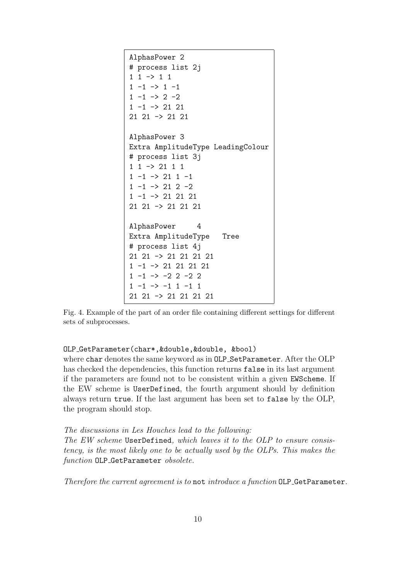```
AlphasPower 2
# process list 2j
1 1 \rightarrow 1 11 -1 \rightarrow 1 -11 -1 \rightarrow 2 -21 -1 \rightarrow 21 21
21 21 -> 21 21
AlphasPower 3
Extra AmplitudeType LeadingColour
# process list 3j
1 1 -> 21 1 1
1 -1 \rightarrow 21 1 -11 -1 \rightarrow 21 2 -21 -1 -> 21 21 21
21 21 -> 21 21 21
AlphasPower 4
Extra AmplitudeType Tree
# process list 4j
21 21 -> 21 21 21 21
1 -1 -> 21 21 21 21
1 -1 \rightarrow -2 2 -2 21 -1 \rightarrow -1 1 -1 121 21 -> 21 21 21 21
```
Fig. 4. Example of the part of an order file containing different settings for different sets of subprocesses.

## OLP GetParameter(char\*,&double,&double, &bool)

where char denotes the same keyword as in OLP SetParameter. After the OLP has checked the dependencies, this function returns false in its last argument if the parameters are found not to be consistent within a given EWScheme. If the EW scheme is UserDefined, the fourth argument should by definition always return true. If the last argument has been set to false by the OLP, the program should stop.

#### The discussions in Les Houches lead to the following:

The EW scheme UserDefined, which leaves it to the OLP to ensure consistency, is the most likely one to be actually used by the OLPs. This makes the function OLP\_GetParameter obsolete.

Therefore the current agreement is to not introduce a function OLP\_GetParameter.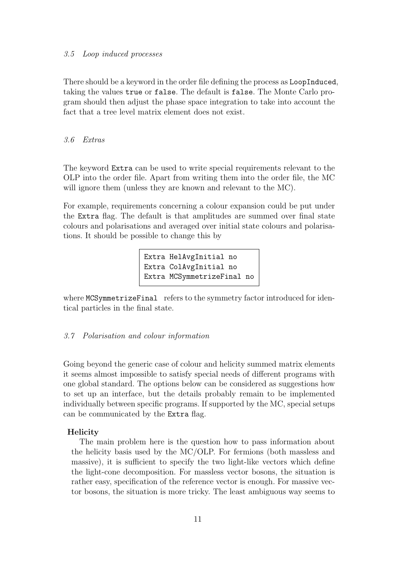#### 3.5 Loop induced processes

There should be a keyword in the order file defining the process as LoopInduced, taking the values true or false. The default is false. The Monte Carlo program should then adjust the phase space integration to take into account the fact that a tree level matrix element does not exist.

## 3.6 Extras

The keyword Extra can be used to write special requirements relevant to the OLP into the order file. Apart from writing them into the order file, the MC will ignore them (unless they are known and relevant to the MC).

For example, requirements concerning a colour expansion could be put under the Extra flag. The default is that amplitudes are summed over final state colours and polarisations and averaged over initial state colours and polarisations. It should be possible to change this by

> Extra HelAvgInitial no Extra ColAvgInitial no Extra MCSymmetrizeFinal no

where MCSymmetrizeFinal refers to the symmetry factor introduced for identical particles in the final state.

## 3.7 Polarisation and colour information

Going beyond the generic case of colour and helicity summed matrix elements it seems almost impossible to satisfy special needs of different programs with one global standard. The options below can be considered as suggestions how to set up an interface, but the details probably remain to be implemented individually between specific programs. If supported by the MC, special setups can be communicated by the Extra flag.

#### Helicity

The main problem here is the question how to pass information about the helicity basis used by the MC/OLP. For fermions (both massless and massive), it is sufficient to specify the two light-like vectors which define the light-cone decomposition. For massless vector bosons, the situation is rather easy, specification of the reference vector is enough. For massive vector bosons, the situation is more tricky. The least ambiguous way seems to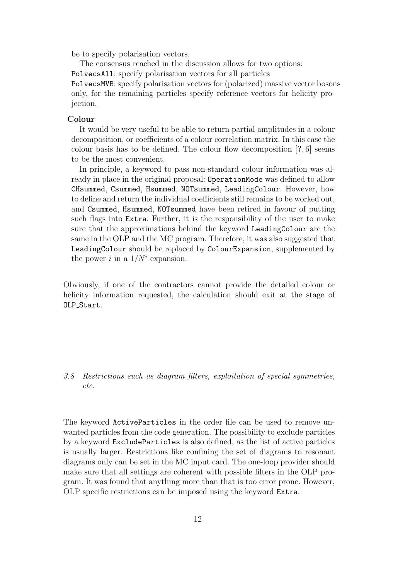be to specify polarisation vectors.

The consensus reached in the discussion allows for two options:

PolvecsAll: specify polarisation vectors for all particles

PolvecsMVB: specify polarisation vectors for (polarized) massive vector bosons only, for the remaining particles specify reference vectors for helicity projection.

#### Colour

It would be very useful to be able to return partial amplitudes in a colour decomposition, or coefficients of a colour correlation matrix. In this case the colour basis has to be defined. The colour flow decomposition  $[?$ , 6 seems to be the most convenient.

In principle, a keyword to pass non-standard colour information was already in place in the original proposal: OperationMode was defined to allow CHsummed, Csummed, Hsummed, NOTsummed, LeadingColour. However, how to define and return the individual coefficients still remains to be worked out, and Csummed, Hsummed, NOTsummed have been retired in favour of putting such flags into Extra. Further, it is the responsibility of the user to make sure that the approximations behind the keyword LeadingColour are the same in the OLP and the MC program. Therefore, it was also suggested that LeadingColour should be replaced by ColourExpansion, supplemented by the power i in a  $1/N^i$  expansion.

Obviously, if one of the contractors cannot provide the detailed colour or helicity information requested, the calculation should exit at the stage of OLP\_Start.

3.8 Restrictions such as diagram filters, exploitation of special symmetries, etc.

The keyword ActiveParticles in the order file can be used to remove unwanted particles from the code generation. The possibility to exclude particles by a keyword ExcludeParticles is also defined, as the list of active particles is usually larger. Restrictions like confining the set of diagrams to resonant diagrams only can be set in the MC input card. The one-loop provider should make sure that all settings are coherent with possible filters in the OLP program. It was found that anything more than that is too error prone. However, OLP specific restrictions can be imposed using the keyword Extra.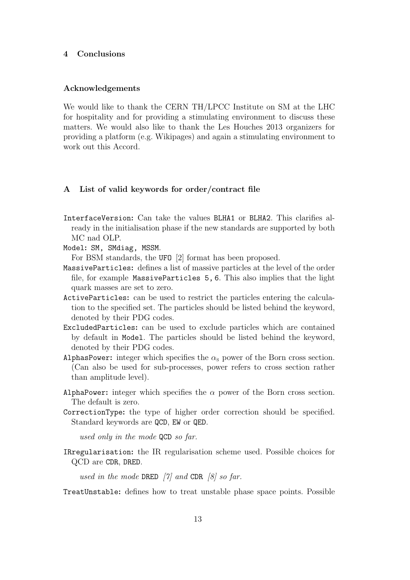#### 4 Conclusions

#### Acknowledgements

We would like to thank the CERN TH/LPCC Institute on SM at the LHC for hospitality and for providing a stimulating environment to discuss these matters. We would also like to thank the Les Houches 2013 organizers for providing a platform (e.g. Wikipages) and again a stimulating environment to work out this Accord.

#### A List of valid keywords for order/contract file

InterfaceVersion: Can take the values BLHA1 or BLHA2. This clarifies already in the initialisation phase if the new standards are supported by both MC nad OLP.

Model: SM, SMdiag, MSSM.

For BSM standards, the UFO [2] format has been proposed.

- MassiveParticles: defines a list of massive particles at the level of the order file, for example MassiveParticles 5, 6. This also implies that the light quark masses are set to zero.
- ActiveParticles: can be used to restrict the particles entering the calculation to the specified set. The particles should be listed behind the keyword, denoted by their PDG codes.
- ExcludedParticles: can be used to exclude particles which are contained by default in Model. The particles should be listed behind the keyword, denoted by their PDG codes.
- AlphasPower: integer which specifies the  $\alpha_s$  power of the Born cross section. (Can also be used for sub-processes, power refers to cross section rather than amplitude level).
- AlphaPower: integer which specifies the  $\alpha$  power of the Born cross section. The default is zero.
- CorrectionType: the type of higher order correction should be specified. Standard keywords are QCD, EW or QED.

used only in the mode QCD so far.

IRregularisation: the IR regularisation scheme used. Possible choices for QCD are CDR, DRED.

used in the mode DRED  $[7]$  and CDR  $[8]$  so far.

TreatUnstable: defines how to treat unstable phase space points. Possible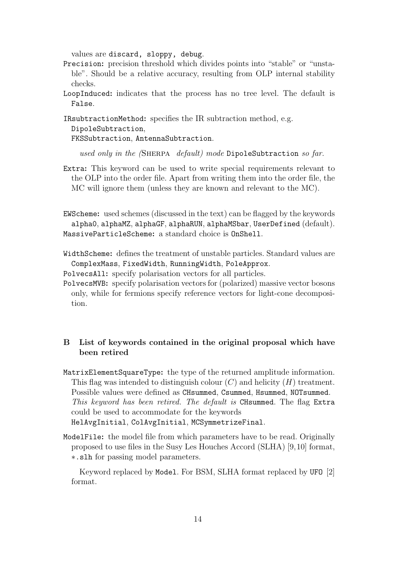values are discard, sloppy, debug.

- Precision: precision threshold which divides points into "stable" or "unstable". Should be a relative accuracy, resulting from OLP internal stability checks.
- LoopInduced: indicates that the process has no tree level. The default is False.

IRsubtractionMethod: specifies the IR subtraction method, e.g. DipoleSubtraction,

FKSSubtraction, AntennaSubtraction.

used only in the (SHERPA default) mode DipoleSubtraction so far.

Extra: This keyword can be used to write special requirements relevant to the OLP into the order file. Apart from writing them into the order file, the MC will ignore them (unless they are known and relevant to the MC).

EWScheme: used schemes (discussed in the text) can be flagged by the keywords alpha0, alphaMZ, alphaGF, alphaRUN, alphaMSbar, UserDefined (default). MassiveParticleScheme: a standard choice is OnShell.

WidthScheme: defines the treatment of unstable particles. Standard values are ComplexMass, FixedWidth, RunningWidth, PoleApprox.

PolvecsAll: specify polarisation vectors for all particles.

PolvecsMVB: specify polarisation vectors for (polarized) massive vector bosons only, while for fermions specify reference vectors for light-cone decomposition.

# B List of keywords contained in the original proposal which have been retired

- MatrixElementSquareType: the type of the returned amplitude information. This flag was intended to distinguish colour  $(C)$  and helicity  $(H)$  treatment. Possible values were defined as CHsummed, Csummed, Hsummed, NOTsummed. This keyword has been retired. The default is CHsummed. The flag Extra could be used to accommodate for the keywords HelAvgInitial, ColAvgInitial, MCSymmetrizeFinal.
- ModelFile: the model file from which parameters have to be read. Originally proposed to use files in the Susy Les Houches Accord (SLHA) [9,10] format, ∗.slh for passing model parameters.

Keyword replaced by Model. For BSM, SLHA format replaced by UFO [2] format.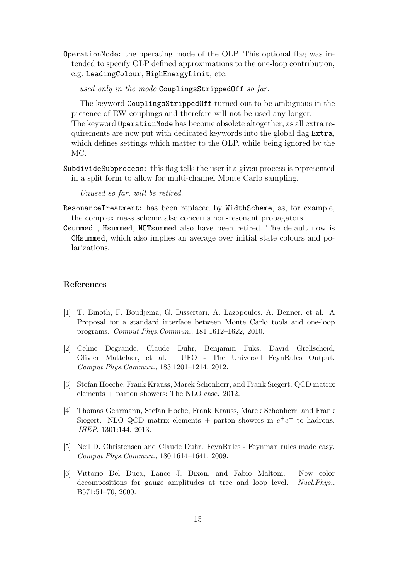OperationMode: the operating mode of the OLP. This optional flag was intended to specify OLP defined approximations to the one-loop contribution, e.g. LeadingColour, HighEnergyLimit, etc.

used only in the mode CouplingsStrippedOff so far.

The keyword CouplingsStrippedOff turned out to be ambiguous in the presence of EW couplings and therefore will not be used any longer. The keyword OperationMode has become obsolete altogether, as all extra requirements are now put with dedicated keywords into the global flag Extra, which defines settings which matter to the OLP, while being ignored by the MC.

SubdivideSubprocess: this flag tells the user if a given process is represented in a split form to allow for multi-channel Monte Carlo sampling.

Unused so far, will be retired.

- ResonanceTreatment: has been replaced by WidthScheme, as, for example, the complex mass scheme also concerns non-resonant propagators.
- Csummed , Hsummed, NOTsummed also have been retired. The default now is CHsummed, which also implies an average over initial state colours and polarizations.

# References

- [1] T. Binoth, F. Boudjema, G. Dissertori, A. Lazopoulos, A. Denner, et al. A Proposal for a standard interface between Monte Carlo tools and one-loop programs. Comput.Phys.Commun., 181:1612–1622, 2010.
- [2] Celine Degrande, Claude Duhr, Benjamin Fuks, David Grellscheid, Olivier Mattelaer, et al. UFO - The Universal FeynRules Output. Comput.Phys.Commun., 183:1201–1214, 2012.
- [3] Stefan Hoeche, Frank Krauss, Marek Schonherr, and Frank Siegert. QCD matrix elements + parton showers: The NLO case. 2012.
- [4] Thomas Gehrmann, Stefan Hoche, Frank Krauss, Marek Schonherr, and Frank Siegert. NLO QCD matrix elements + parton showers in  $e^+e^-$  to hadrons. JHEP, 1301:144, 2013.
- [5] Neil D. Christensen and Claude Duhr. FeynRules Feynman rules made easy. Comput.Phys.Commun., 180:1614–1641, 2009.
- [6] Vittorio Del Duca, Lance J. Dixon, and Fabio Maltoni. New color decompositions for gauge amplitudes at tree and loop level. Nucl.Phys., B571:51–70, 2000.